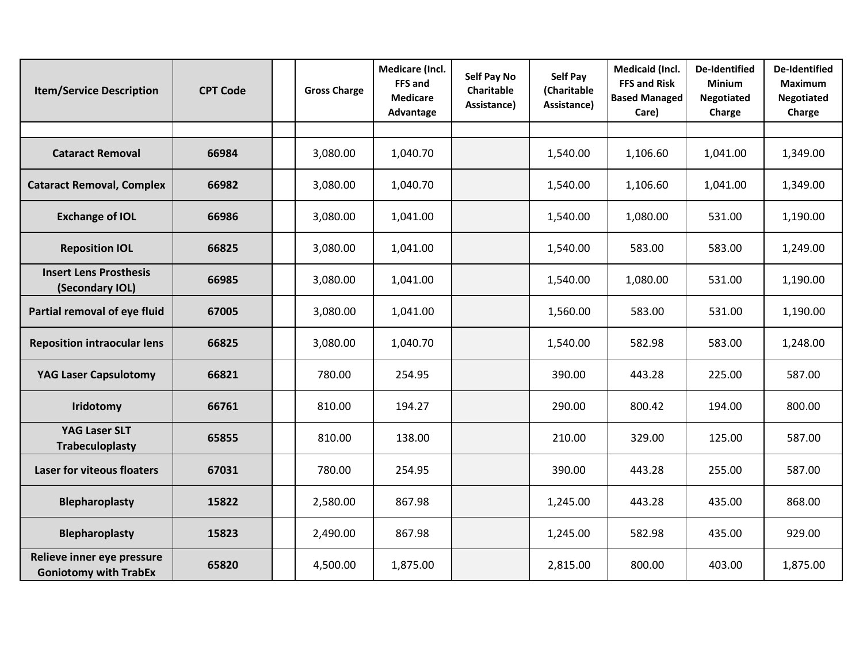| <b>Item/Service Description</b>                            | <b>CPT Code</b> | <b>Gross Charge</b> | Medicare (Incl.<br>FFS and<br><b>Medicare</b><br>Advantage | <b>Self Pay No</b><br>Charitable<br>Assistance) | Self Pay<br>(Charitable<br>Assistance) | <b>Medicaid (Incl.</b><br><b>FFS and Risk</b><br><b>Based Managed</b><br>Care) | <b>De-Identified</b><br><b>Minium</b><br><b>Negotiated</b><br>Charge | <b>De-Identified</b><br><b>Maximum</b><br><b>Negotiated</b><br>Charge |
|------------------------------------------------------------|-----------------|---------------------|------------------------------------------------------------|-------------------------------------------------|----------------------------------------|--------------------------------------------------------------------------------|----------------------------------------------------------------------|-----------------------------------------------------------------------|
|                                                            |                 |                     |                                                            |                                                 |                                        |                                                                                |                                                                      |                                                                       |
| <b>Cataract Removal</b>                                    | 66984           | 3,080.00            | 1,040.70                                                   |                                                 | 1,540.00                               | 1,106.60                                                                       | 1,041.00                                                             | 1,349.00                                                              |
| <b>Cataract Removal, Complex</b>                           | 66982           | 3,080.00            | 1,040.70                                                   |                                                 | 1,540.00                               | 1,106.60                                                                       | 1,041.00                                                             | 1,349.00                                                              |
| <b>Exchange of IOL</b>                                     | 66986           | 3,080.00            | 1,041.00                                                   |                                                 | 1,540.00                               | 1,080.00                                                                       | 531.00                                                               | 1,190.00                                                              |
| <b>Reposition IOL</b>                                      | 66825           | 3,080.00            | 1,041.00                                                   |                                                 | 1,540.00                               | 583.00                                                                         | 583.00                                                               | 1,249.00                                                              |
| <b>Insert Lens Prosthesis</b><br>(Secondary IOL)           | 66985           | 3,080.00            | 1,041.00                                                   |                                                 | 1,540.00                               | 1,080.00                                                                       | 531.00                                                               | 1,190.00                                                              |
| Partial removal of eye fluid                               | 67005           | 3,080.00            | 1,041.00                                                   |                                                 | 1,560.00                               | 583.00                                                                         | 531.00                                                               | 1,190.00                                                              |
| <b>Reposition intraocular lens</b>                         | 66825           | 3,080.00            | 1,040.70                                                   |                                                 | 1,540.00                               | 582.98                                                                         | 583.00                                                               | 1,248.00                                                              |
| <b>YAG Laser Capsulotomy</b>                               | 66821           | 780.00              | 254.95                                                     |                                                 | 390.00                                 | 443.28                                                                         | 225.00                                                               | 587.00                                                                |
| Iridotomy                                                  | 66761           | 810.00              | 194.27                                                     |                                                 | 290.00                                 | 800.42                                                                         | 194.00                                                               | 800.00                                                                |
| <b>YAG Laser SLT</b><br><b>Trabeculoplasty</b>             | 65855           | 810.00              | 138.00                                                     |                                                 | 210.00                                 | 329.00                                                                         | 125.00                                                               | 587.00                                                                |
| <b>Laser for viteous floaters</b>                          | 67031           | 780.00              | 254.95                                                     |                                                 | 390.00                                 | 443.28                                                                         | 255.00                                                               | 587.00                                                                |
| <b>Blepharoplasty</b>                                      | 15822           | 2,580.00            | 867.98                                                     |                                                 | 1,245.00                               | 443.28                                                                         | 435.00                                                               | 868.00                                                                |
| <b>Blepharoplasty</b>                                      | 15823           | 2,490.00            | 867.98                                                     |                                                 | 1,245.00                               | 582.98                                                                         | 435.00                                                               | 929.00                                                                |
| Relieve inner eye pressure<br><b>Goniotomy with TrabEx</b> | 65820           | 4,500.00            | 1,875.00                                                   |                                                 | 2,815.00                               | 800.00                                                                         | 403.00                                                               | 1,875.00                                                              |